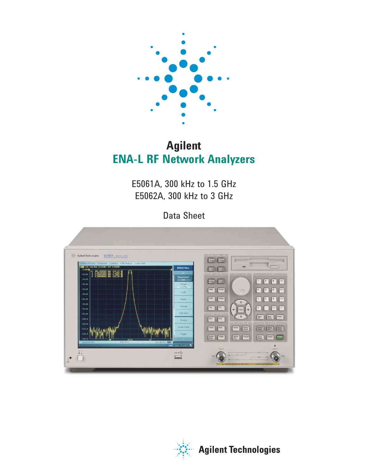

# **Agilent ENA-L RF Network Analyzers**

E5061A, 300 kHz to 1.5 GHz E5062A, 300 kHz to 3 GHz

Data Sheet



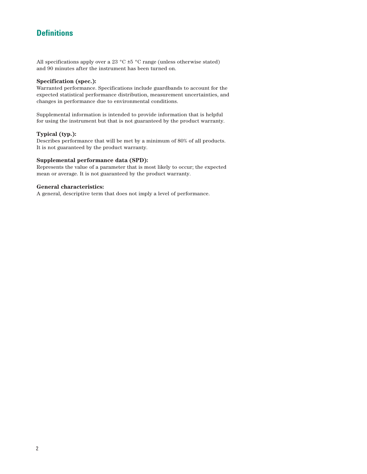# **Definitions**

All specifications apply over a 23  $^{\circ}$ C  $\pm$ 5  $^{\circ}$ C range (unless otherwise stated) and 90 minutes after the instrument has been turned on.

### **Specification (spec.):**

Warranted performance. Specifications include guardbands to account for the expected statistical performance distribution, measurement uncertainties, and changes in performance due to environmental conditions.

Supplemental information is intended to provide information that is helpful for using the instrument but that is not guaranteed by the product warranty.

### **Typical (typ.):**

Describes performance that will be met by a minimum of 80% of all products. It is not guaranteed by the product warranty.

#### **Supplemental performance data (SPD):**

Represents the value of a parameter that is most likely to occur; the expected mean or average. It is not guaranteed by the product warranty.

#### **General characteristics:**

A general, descriptive term that does not imply a level of performance.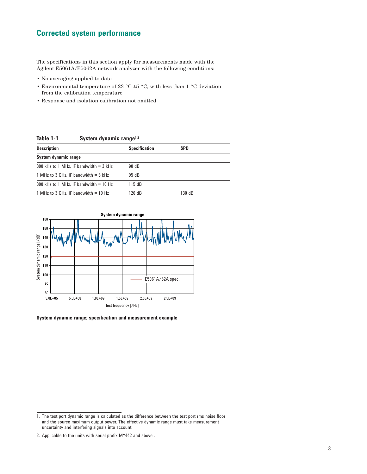# **Corrected system performance**

The specifications in this section apply for measurements made with the Agilent E5061A/E5062A network analyzer with the following conditions:

- No averaging applied to data
- Environmental temperature of 23 °C  $\pm$ 5 °C, with less than 1 °C deviation from the calibration temperature
- Response and isolation calibration not omitted

**Table 1-1 System dynamic range1 2**

| <b>Description</b>                       | <b>Specification</b> | <b>SPD</b> |
|------------------------------------------|----------------------|------------|
| System dynamic range                     |                      |            |
| 300 kHz to 1 MHz. IF bandwidth $=$ 3 kHz | 90 dB                |            |
| 1 MHz to 3 GHz. IF bandwidth $=$ 3 kHz   | 95 dB                |            |
| 300 kHz to 1 MHz. IF bandwidth $=$ 10 Hz | 115 dB               |            |
| 1 MHz to 3 GHz. IF bandwidth $=$ 10 Hz   | 120dB                | 130 dB     |



**System dynamic range; specification and measurement example**

<sup>1.</sup> The test port dynamic range is calculated as the difference between the test port rms noise floor and the source maximum output power. The effective dynamic range must take measurement uncertainty and interfering signals into account.

<sup>2.</sup> Applicable to the units with serial prefix MY442 and above .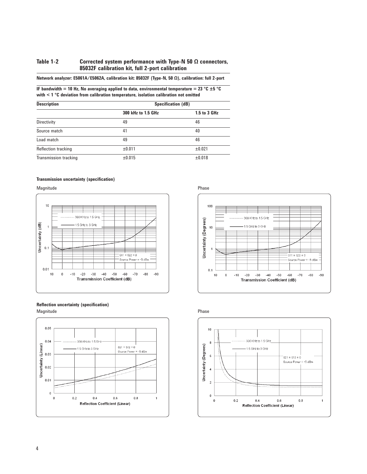### **Table 1-2 Corrected system performance with Type-N 50 Ω connectors, 85032F calibration kit, full 2-port calibration**

|  |  | Network analyzer: E5061A/E5062A, calibration kit: 85032F (Type-N, 50 $\Omega$ ), calibration: full 2-port |
|--|--|-----------------------------------------------------------------------------------------------------------|
|  |  |                                                                                                           |

**IF bandwidth = 10 Hz, No averaging applied to data, environmental temperature = 23 °C**  $\pm$ **5 °C with < 1 °C deviation from calibration temperature, isolation calibration not omitted**

| <b>Description</b>    | <b>Specification (dB)</b> |              |  |
|-----------------------|---------------------------|--------------|--|
|                       | 300 kHz to 1.5 GHz        | 1.5 to 3 GHz |  |
| Directivity           | 49                        | 46           |  |
| Source match          | 41                        | 40           |  |
| Load match            | 49                        | 46           |  |
| Reflection tracking   | ±0.011                    | ±0.021       |  |
| Transmission tracking | ±0.015                    | ±0.018       |  |

#### **Transmission uncertainty (specification)**











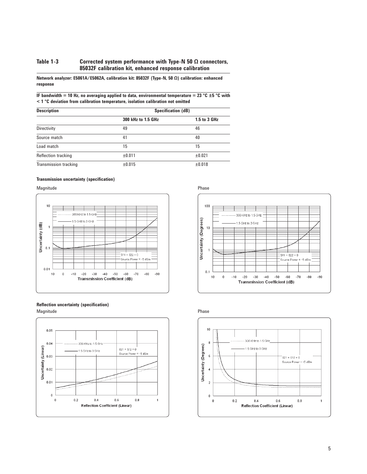### **Table 1-3 Corrected system performance with Type-N 50 Ω connectors, 85032F calibration kit, enhanced response calibration**

**Network analyzer: E5061A/E5062A, calibration kit: 85032F (Type-N, 50 Ω) calibration: enhanced response** 

**IF bandwidth = 10 Hz, no averaging applied to data, environmental temperature = 23 °C ±5 °C with < 1 °C deviation from calibration temperature, isolation calibration not omitted**

| <b>Description</b>    | <b>Specification (dB)</b> |              |  |
|-----------------------|---------------------------|--------------|--|
|                       | 300 kHz to 1.5 GHz        | 1.5 to 3 GHz |  |
| Directivity           | 49                        | 46           |  |
| Source match          | 41                        | 40           |  |
| Load match            | 15                        | 15           |  |
| Reflection tracking   | ±0.011                    | ±0.021       |  |
| Transmission tracking | ±0.015                    | ±0.018       |  |

#### **Transmission uncertainty (specification)**

Magnitude **Phase** 











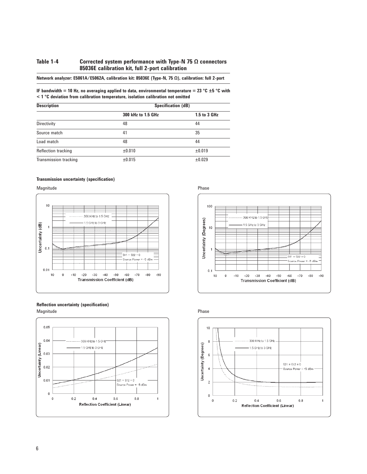### **Table 1-4 Corrected system performance with Type-N 75 Ω connectors 85036E calibration kit, full 2-port calibration**

| Network analyzer: E5061A/E5062A, calibration kit: 85036E (Type-N, 75 Ω), calibration: full 2-port |  |
|---------------------------------------------------------------------------------------------------|--|
|---------------------------------------------------------------------------------------------------|--|

#### **IF bandwidth = 10 Hz, no averaging applied to data, environmental temperature = 23 °C ±5 °C with < 1 °C deviation from calibration temperature, isolation calibration not omitted**

| <b>Description</b>    | <b>Specification (dB)</b> |              |  |
|-----------------------|---------------------------|--------------|--|
|                       | 300 kHz to 1.5 GHz        | 1.5 to 3 GHz |  |
| Directivity           | 48                        | 44           |  |
| Source match          | 41                        | 35           |  |
| Load match            | 48                        | 44           |  |
| Reflection tracking   | ±0.010                    | ±0.019       |  |
| Transmission tracking | ±0.015                    | ±0.029       |  |

#### **Transmission uncertainty (specification)**











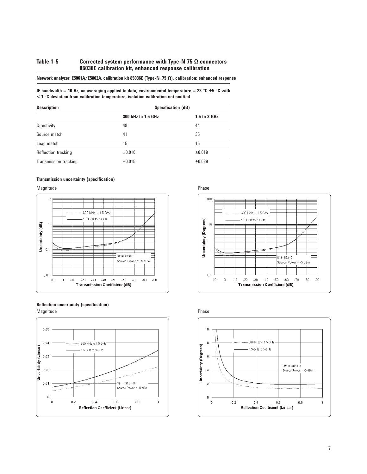### **Table 1-5 Corrected system performance with Type-N 75 Ω connectors 85036E calibration kit, enhanced response calibration**

### **Network analyzer: E5061A/E5062A, calibration kit 85036E (Type-N, 75 Ω), calibration: enhanced response**

**IF bandwidth = 10 Hz, no averaging applied to data, environmental temperature = 23 °C ±5 °C with < 1 °C deviation from calibration temperature, isolation calibration not omitted**

| <b>Description</b>    | <b>Specification (dB)</b> |              |  |
|-----------------------|---------------------------|--------------|--|
|                       | 300 kHz to 1.5 GHz        | 1.5 to 3 GHz |  |
| Directivity           | 48                        | 44           |  |
| Source match          | 41                        | 35           |  |
| Load match            | 15                        | 15           |  |
| Reflection tracking   | ±0.010                    | ±0.019       |  |
| Transmission tracking | ±0.015                    | ±0.029       |  |

#### **Transmission uncertainty (specification)**

Magnitude **Phase** 











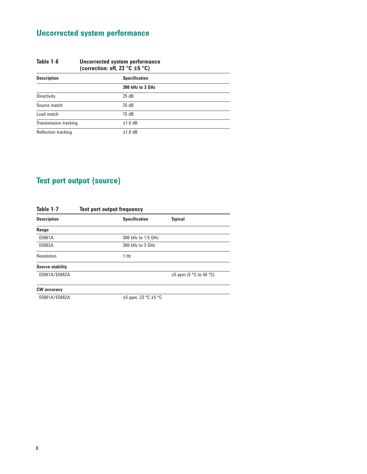# **Uncorrected system performance**

| Table 1-6                    | Uncorrected system performance<br>(correction: off, 23 $^{\circ}$ C ±5 $^{\circ}$ C) |                  |
|------------------------------|--------------------------------------------------------------------------------------|------------------|
| <b>Description</b>           | <b>Specification</b>                                                                 |                  |
|                              |                                                                                      | 300 kHz to 3 GHz |
| Directivity                  |                                                                                      | 25dB             |
| Source match                 |                                                                                      | 25dB             |
| Load match                   |                                                                                      | 15dB             |
| <b>Transmission tracking</b> |                                                                                      | $±1.0$ dB        |
| Reflection tracking          |                                                                                      | $±1.0$ dB        |

# **Test port output (source)**

| <b>Description</b>      | <b>Specification</b>          | <b>Typical</b>              |
|-------------------------|-------------------------------|-----------------------------|
| Range                   |                               |                             |
| E5061A                  | 300 kHz to 1.5 GHz            |                             |
| E5062A                  | 300 kHz to 3 GHz              |                             |
| Resolution              | 1 H <sub>Z</sub>              |                             |
| <b>Source stability</b> |                               |                             |
| E5061A/E5062A           |                               | $\pm 5$ ppm (5 °C to 40 °C) |
| <b>CW</b> accuracy      |                               |                             |
| E5061A/E5062A           | $\pm 5$ ppm, 23 °C $\pm 5$ °C |                             |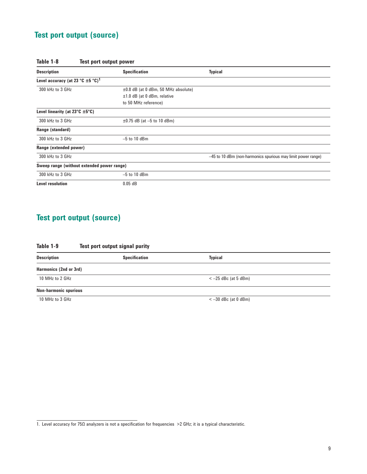# **Test port output (source)**

| Table 1-8 | Test port output power |  |
|-----------|------------------------|--|
|           |                        |  |

| <b>Description</b>                                    | <b>Specification</b>                     | <b>Typical</b>                                               |
|-------------------------------------------------------|------------------------------------------|--------------------------------------------------------------|
| Level accuracy (at 23 °C $\pm$ 5 °C) <sup>1</sup>     |                                          |                                                              |
| 300 kHz to 3 GHz                                      | $\pm 0.8$ dB (at 0 dBm, 50 MHz absolute) |                                                              |
|                                                       | $\pm 1.0$ dB (at 0 dBm, relative         |                                                              |
|                                                       | to 50 MHz reference)                     |                                                              |
| Level linearity (at $23^{\circ}$ C $\pm 5^{\circ}$ C) |                                          |                                                              |
| 300 kHz to 3 GHz                                      | $\pm 0.75$ dB (at -5 to 10 dBm)          |                                                              |
| Range (standard)                                      |                                          |                                                              |
| 300 kHz to 3 GHz                                      | $-5$ to 10 dBm                           |                                                              |
| Range (extended power)                                |                                          |                                                              |
| 300 kHz to 3 GHz                                      |                                          | -45 to 10 dBm (non-harmonics spurious may limit power range) |
| Sweep range (without extended power range)            |                                          |                                                              |
| 300 kHz to 3 GHz                                      | $-5$ to 10 dBm                           |                                                              |
| Level resolution                                      | $0.05$ dB                                |                                                              |

# **Test port output (source)**

| Table 1-9<br>Test port output signal purity |                      |                       |  |
|---------------------------------------------|----------------------|-----------------------|--|
| <b>Description</b>                          | <b>Specification</b> | <b>Typical</b>        |  |
| Harmonics (2nd or 3rd)                      |                      |                       |  |
| 10 MHz to 2 GHz                             |                      | $<-25$ dBc (at 5 dBm) |  |
| <b>Non-harmonic spurious</b>                |                      |                       |  |
| 10 MHz to 3 GHz                             |                      | $<-30$ dBc (at 0 dBm) |  |

<sup>1.</sup> Level accuracy for 75Ω analyzers is not a specification for frequencies >2 GHz; it is a typical characteristic.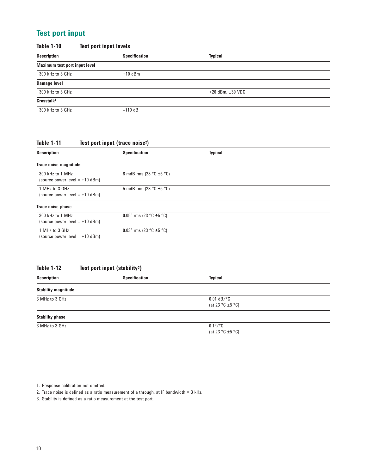# **Test port input**

| <b>Table 1-10</b>                    | <b>Test port input levels</b> |                         |  |
|--------------------------------------|-------------------------------|-------------------------|--|
| <b>Description</b>                   | <b>Specification</b>          | <b>Typical</b>          |  |
| <b>Maximum test port input level</b> |                               |                         |  |
| 300 kHz to 3 GHz                     | $+10$ dBm                     |                         |  |
| <b>Damage level</b>                  |                               |                         |  |
| 300 kHz to 3 GHz                     |                               | $+20$ dBm, $\pm 30$ VDC |  |
| Crosstalk <sup>1</sup>               |                               |                         |  |
| 300 kHz to 3 GHz                     | $-110$ dB                     |                         |  |

## **Table 1-11 Test port input (trace noise2)**

| <b>Description</b>                                   | <b>Specification</b>                      | <b>Typical</b> |  |
|------------------------------------------------------|-------------------------------------------|----------------|--|
| Trace noise magnitude                                |                                           |                |  |
| 300 kHz to 1 MHz<br>(source power level $= +10$ dBm) | 8 mdB rms $(23 °C \pm 5 °C)$              |                |  |
| 1 MHz to 3 GHz<br>(source power level $= +10$ dBm)   | 5 mdB rms (23 $\degree$ C ±5 $\degree$ C) |                |  |
| Trace noise phase                                    |                                           |                |  |
| 300 kHz to 1 MHz<br>(source power level $= +10$ dBm) | 0.05° rms (23 °C $\pm$ 5 °C)              |                |  |
| 1 MHz to 3 GHz<br>(source power level $= +10$ dBm)   | 0.03° rms (23 °C $\pm$ 5 °C)              |                |  |

# Table 1-12 Test port input (stability<sup>3</sup>)

| <b>Description</b>         | <b>Specification</b> | <b>Typical</b>                                                   |  |
|----------------------------|----------------------|------------------------------------------------------------------|--|
| <b>Stability magnitude</b> |                      |                                                                  |  |
| 3 MHz to 3 GHz             |                      | $0.01$ dB/°C<br>(at 23 °C $\pm$ 5 °C)                            |  |
| <b>Stability phase</b>     |                      |                                                                  |  |
| 3 MHz to 3 GHz             |                      | $0.1^{\circ}/^{\circ}$ C<br>(at 23 $^{\circ}$ C ±5 $^{\circ}$ C) |  |

<sup>1.</sup> Response calibration not omitted.

<sup>2.</sup> Trace noise is defined as a ratio measurement of a through, at IF bandwidth =  $3$  kHz.

<sup>3.</sup> Stability is defined as a ratio measurement at the test port.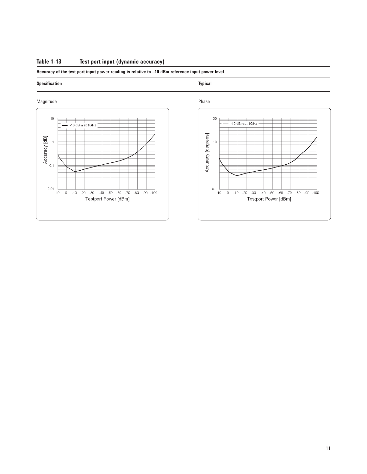### **Table 1-13 Test port input (dynamic accuracy)**

### **Accuracy of the test port input power reading is relative to –10 dBm reference input power level.**

#### **Specification** Typical **Typical**



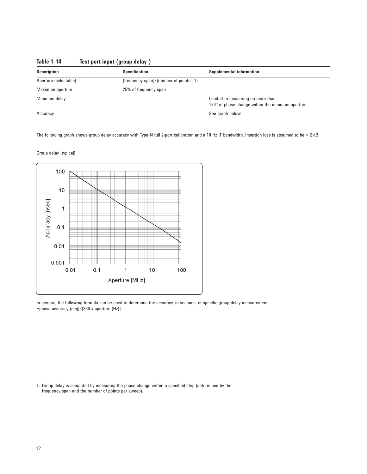| <b>Description</b><br><b>Specification</b> |                                           | <b>Supplemental information</b>                   |  |  |
|--------------------------------------------|-------------------------------------------|---------------------------------------------------|--|--|
| Aperture (selectable)                      | (frequency span)/(number of points $-1$ ) |                                                   |  |  |
| Maximum aperture<br>25% of frequency span  |                                           |                                                   |  |  |
| Minimum delay                              |                                           | Limited to measuring no more than                 |  |  |
|                                            |                                           | 180° of phase change within the minimum aperture. |  |  |
| Accuracy                                   |                                           | See graph below                                   |  |  |

### **Table 1-14 Test port input (group delay** 1**)**

The following graph shows group delay accuracy with Type-N full 2-port calibration and a 10 Hz IF bandwidth. Insertion loss is assumed to be < 2 dB.

Group delay (typical)



In general, the following formula can be used to determine the accuracy, in seconds, of specific group delay measurement: ±phase accuracy (deg)/[360 x aperture (Hz)]

<sup>1.</sup> Group delay is computed by measuring the phase change within a specified step (determined by the frequency span and the number of points per sweep).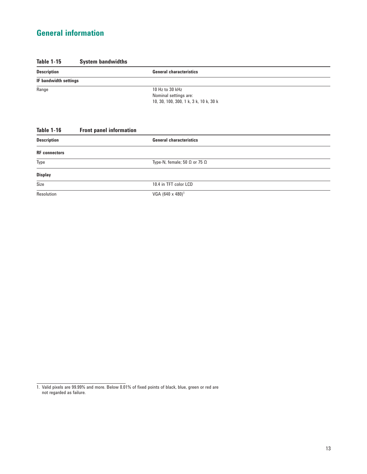# **General information**

### **Table 1-15 System bandwidths**

| <b>Description</b>    | <b>General characteristics</b>                                                     |  |
|-----------------------|------------------------------------------------------------------------------------|--|
| IF bandwidth settings |                                                                                    |  |
| Range                 | 10 Hz to 30 kHz<br>Nominal settings are:<br>10, 30, 100, 300, 1 k, 3 k, 10 k, 30 k |  |

## **Table 1-16 Front panel information**

| <b>Description</b>   | <b>General characteristics</b>             |  |
|----------------------|--------------------------------------------|--|
| <b>RF</b> connectors |                                            |  |
| Type                 | Type-N, female; 50 $\Omega$ or 75 $\Omega$ |  |
| <b>Display</b>       |                                            |  |
| Size                 | 10.4 in TFT color LCD                      |  |
| Resolution           | VGA $(640 \times 480)^1$                   |  |

1. Valid pixels are 99.99% and more. Below 0.01% of fixed points of black, blue, green or red are not regarded as failure.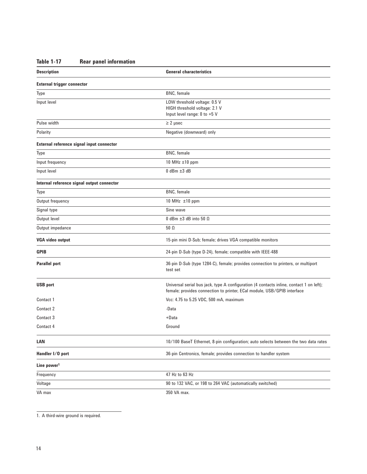# **Table 1-17 Rear panel information**

| <b>Description</b>                         | <b>General characteristics</b>                                                                                                                                     |
|--------------------------------------------|--------------------------------------------------------------------------------------------------------------------------------------------------------------------|
| <b>External trigger connector</b>          |                                                                                                                                                                    |
| Type                                       | <b>BNC</b> , female                                                                                                                                                |
| Input level                                | LOW threshold voltage: 0.5 V<br>HIGH threshold voltage: 2.1 V<br>Input level range: 0 to +5 V                                                                      |
| Pulse width                                | $\geq$ 2 µsec                                                                                                                                                      |
| Polarity                                   | Negative (downward) only                                                                                                                                           |
| External reference signal input connector  |                                                                                                                                                                    |
| Type                                       | <b>BNC</b> , female                                                                                                                                                |
| Input frequency                            | 10 MHz $\pm$ 10 ppm                                                                                                                                                |
| Input level                                | $0$ dBm $\pm 3$ dB                                                                                                                                                 |
| Internal reference signal output connector |                                                                                                                                                                    |
| Type                                       | <b>BNC</b> , female                                                                                                                                                |
| Output frequency                           | 10 MHz ±10 ppm                                                                                                                                                     |
| Signal type                                | Sine wave                                                                                                                                                          |
| Output level                               | 0 dBm $\pm 3$ dB into 50 $\Omega$                                                                                                                                  |
| Output impedance                           | $50 \Omega$                                                                                                                                                        |
| <b>VGA video output</b>                    | 15-pin mini D-Sub; female; drives VGA compatible monitors                                                                                                          |
| <b>GPIB</b>                                | 24-pin D-Sub (type D-24), female; compatible with IEEE-488                                                                                                         |
| <b>Parallel port</b>                       | 36-pin D-Sub (type 1284-C), female; provides connection to printers, or multiport<br>test set                                                                      |
| <b>USB</b> port                            | Universal serial bus jack, type A configuration (4 contacts inline, contact 1 on left);<br>female; provides connection to printer, ECal module, USB/GPIB interface |
| Contact 1                                  | Vcc: 4.75 to 5.25 VDC, 500 mA, maximum                                                                                                                             |
| Contact 2                                  | -Data                                                                                                                                                              |
| Contact 3                                  | +Data                                                                                                                                                              |
| Contact 4                                  | Ground                                                                                                                                                             |
| LAN                                        | 10/100 BaseT Ethernet, 8-pin configuration; auto selects between the two data rates                                                                                |
| Handler I/O port                           | 36-pin Centronics, female; provides connection to handler system                                                                                                   |
| Line power <sup>1</sup>                    |                                                                                                                                                                    |
| Frequency                                  | 47 Hz to 63 Hz                                                                                                                                                     |
| Voltage                                    | 90 to 132 VAC, or 198 to 264 VAC (automatically switched)                                                                                                          |
| VA max                                     | 350 VA max.                                                                                                                                                        |

1. A third-wire ground is required.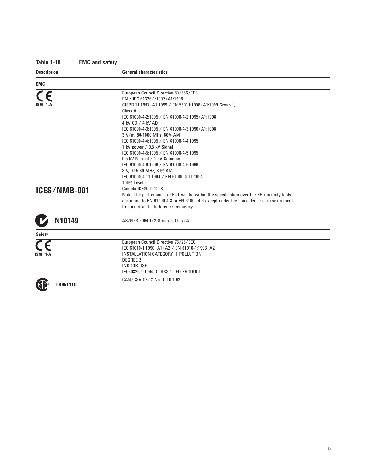# **Table 1-18 EMC and safety**

| <b>Description</b> | <b>General characteristics</b>                                                           |
|--------------------|------------------------------------------------------------------------------------------|
| EMC                |                                                                                          |
|                    | European Council Directive 89/336/EEC                                                    |
|                    | EN / IEC 61326-1:1997+A1:1998                                                            |
|                    | CISPR 11:1997+A1:1999 / EN 55011:1998+A1:1999 Group 1,                                   |
|                    | Class A                                                                                  |
|                    | IEC 61000-4-2:1995 / EN 61000-4-2:1995+A1:1998                                           |
|                    | 4 kV CD / 4 kV AD                                                                        |
|                    | IEC 61000-4-3:1995 / EN 61000-4-3:1996+A1:1998                                           |
|                    | 3 V/m, 80-1000 MHz, 80% AM                                                               |
|                    | IEC 61000-4-4:1995 / EN 61000-4-4:1995                                                   |
|                    | 1 kV power / 0.5 kV Signal                                                               |
|                    | IEC 61000-4-5:1995 / EN 61000-4-5:1995                                                   |
|                    | 0.5 kV Normal / 1 kV Common                                                              |
|                    | IEC 61000-4-6:1996 / EN 61000-4-6:1996                                                   |
|                    | 3 V. 0.15-80 MHz. 80% AM                                                                 |
|                    | IEC 61000-4-11:1994 / EN 61000-4-11:1994                                                 |
|                    | 100% 1 cycle                                                                             |
| ICES/NMB-001       | Canada ICES001:1998                                                                      |
|                    | Note: The performance of EUT will be within the specification over the RF immunity tests |
|                    | according to EN 61000-4-3 or EN 61000-4-6 except under the coincidence of measurement    |
|                    | frequency and interference frequency.                                                    |
| N10149             | AS/NZS 2064.1/2 Group 1, Class A                                                         |
| <b>Safety</b>      |                                                                                          |
|                    | European Council Directive 73/23/EEC                                                     |
|                    | IEC 61010-1:1990+A1+A2 / EN 61010-1:1993+A2                                              |
|                    | INSTALLATION CATEGORY II, POLLUTION                                                      |
|                    | <b>DEGREE 2</b>                                                                          |
|                    | <b>INDOOR USE</b>                                                                        |
|                    | IEC60825-1:1994 CLASS 1 LED PRODUCT                                                      |
|                    | CAN/CSA C22.2 No. 1010.1-92                                                              |
| <b>LR95111C</b>    |                                                                                          |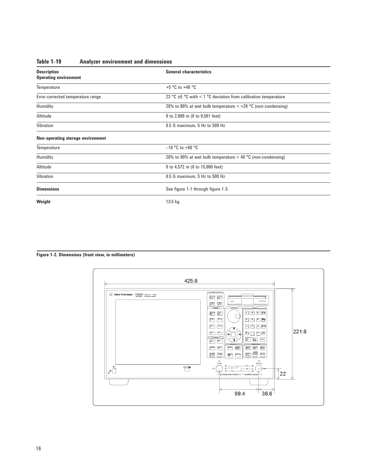| <b>Description</b><br><b>Operating environment</b> | <b>General characteristics</b>                                      |
|----------------------------------------------------|---------------------------------------------------------------------|
| Temperature                                        | +5 °C to +40 °C                                                     |
| Error-corrected temperature range                  | 23 °C $\pm$ 5 °C with < 1 °C deviation from calibration temperature |
| Humidity                                           | 20% to 80% at wet bulb temperature $\lt$ +29 °C (non-condensing)    |
| Altitude                                           | 0 to 2,000 m (0 to 6,561 feet)                                      |
| Vibration<br>0.5 G maximum, 5 Hz to 500 Hz         |                                                                     |
| Non-operating storage environment                  |                                                                     |
| Temperature                                        | $-10$ °C to +60 °C                                                  |
| Humidity                                           | 20% to 90% at wet bulb temperature $<$ 40 °C (non-condensing)       |
| Altitude                                           | 0 to 4,572 m (0 to 15,000 feet)                                     |
| Vibration                                          | 0.5 G maximum, 5 Hz to 500 Hz                                       |
| <b>Dimensions</b>                                  | See figure 1-1 through figure 1-3.                                  |
| Weight                                             | $13.5$ kg                                                           |

### **Table 1-19 Analyzer environment and dimensions**

### **Figure 1-2. Dimensions (front view, in millimeters)**

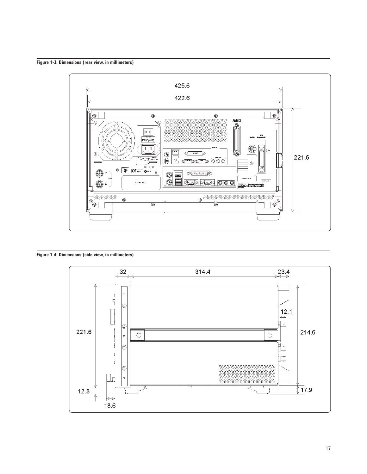**Figure 1-3. Dimensions (rear view, in millimeters)**



**Figure 1-4. Dimensions (side view, in millimeters)**

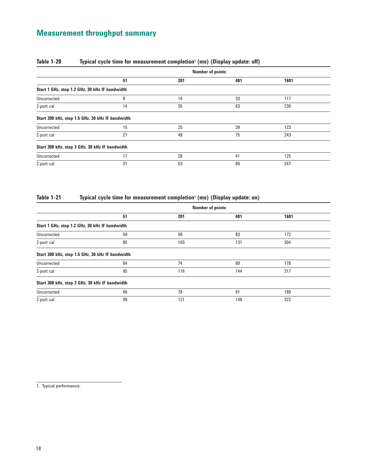# **Measurement throughput summary**

|                                                  | <b>Number of points</b> |     |     |      |
|--------------------------------------------------|-------------------------|-----|-----|------|
|                                                  | 51                      | 201 | 401 | 1601 |
| Start 1 GHz, stop 1.2 GHz, 30 kHz IF bandwidth   |                         |     |     |      |
| Uncorrected                                      | 8                       | 19  | 33  | 117  |
| 2-port cal                                       | 14                      | 35  | 63  | 230  |
| Start 300 kHz, stop 1.5 GHz, 30 kHz IF bandwidth |                         |     |     |      |
| Uncorrected                                      | 15                      | 25  | 39  | 123  |
| 2-port cal                                       | 27                      | 48  | 75  | 243  |
| Start 300 kHz, stop 3 GHz, 30 kHz IF bandwidth   |                         |     |     |      |
| Uncorrected                                      | 17                      | 28  | 41  | 125  |
| 2-port cal                                       | 31                      | 53  | 80  | 247  |

### **Table 1-20 Typical cycle time for measurement completion1 (ms) (Display update: off)**

### **Table 1-21 Typical cycle time for measurement completion1 (ms) (Display update: on)**

|                                                  | <b>Number of points</b> |     |     |      |  |
|--------------------------------------------------|-------------------------|-----|-----|------|--|
|                                                  | 51                      | 201 | 401 | 1601 |  |
| Start 1 GHz, stop 1.2 GHz, 30 kHz IF bandwidth   |                         |     |     |      |  |
| Uncorrected                                      | 59                      | 68  | 83  | 172  |  |
| 2-port cal                                       | 85                      | 103 | 131 | 304  |  |
| Start 300 kHz, stop 1.5 GHz, 30 kHz IF bandwidth |                         |     |     |      |  |
| Uncorrected                                      | 64                      | 74  | 89  | 178  |  |
| 2-port cal                                       | 95                      | 116 | 144 | 317  |  |
| Start 300 kHz, stop 3 GHz, 30 kHz IF bandwidth   |                         |     |     |      |  |
| Uncorrected                                      | 66                      | 78  | 91  | 180  |  |
| 2-port cal                                       | 98                      | 121 | 148 | 322  |  |

1. Typical performance.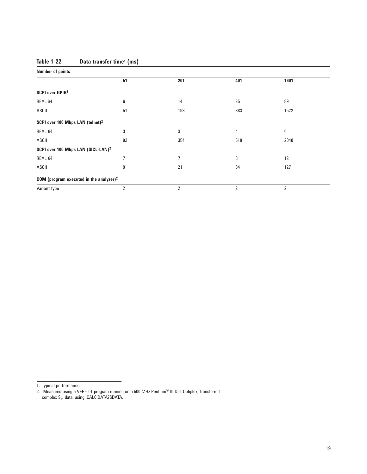# **Table 1-22 Data transfer time1 (ms)**

| <b>Number of points</b>                        |    |                |     |                |
|------------------------------------------------|----|----------------|-----|----------------|
|                                                | 51 | 201            | 401 | 1601           |
| SCPI over GPIB <sup>2</sup>                    |    |                |     |                |
| REAL 64                                        | 6  | 14             | 25  | 89             |
| ASCII                                          | 51 | 193            | 383 | 1522           |
| SCPI over 100 Mbps LAN (telnet) <sup>2</sup>   |    |                |     |                |
| REAL 64                                        | 3  | 3              | 4   | 6              |
| ASCII                                          | 92 | 354            | 510 | 2040           |
| SCPI over 100 Mbps LAN (SICL-LAN) <sup>2</sup> |    |                |     |                |
| REAL 64                                        | 7  | 7              | 8   | 12             |
| ASCII                                          | 9  | 21             | 34  | 127            |
| COM (program executed in the analyzer) $2$     |    |                |     |                |
| Variant type                                   | 2  | $\overline{2}$ | 2   | $\overline{2}$ |

1. Typical performance.

<sup>2.</sup> Measured using a VEE 6.01 program running on a 500 MHz Pentium® III Dell Optiplex, Transferred complex S<sub>11</sub> data, using :CALC:DATA?SDATA.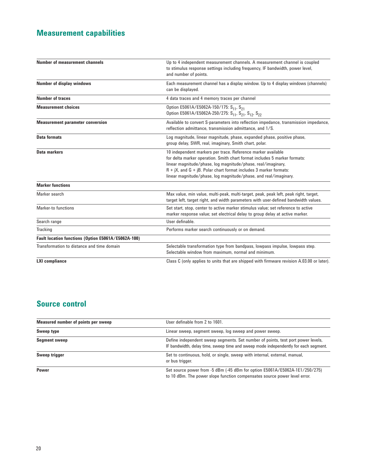# **Measurement capabilities**

| <b>Number of measurement channels</b>               | Up to 4 independent measurement channels. A measurement channel is coupled<br>to stimulus response settings including frequency, IF bandwidth, power level,<br>and number of points.                                                                                                                                                                     |
|-----------------------------------------------------|----------------------------------------------------------------------------------------------------------------------------------------------------------------------------------------------------------------------------------------------------------------------------------------------------------------------------------------------------------|
| <b>Number of display windows</b>                    | Each measurement channel has a display window. Up to 4 display windows (channels)<br>can be displayed.                                                                                                                                                                                                                                                   |
| <b>Number of traces</b>                             | 4 data traces and 4 memory traces per channel                                                                                                                                                                                                                                                                                                            |
| <b>Measurement choices</b>                          | Option E5061A/E5062A-150/175: S <sub>11</sub> , S <sub>21</sub><br>Option E5061A/E5062A-250/275: S <sub>11</sub> , S <sub>21</sub> , S <sub>12</sub> , S <sub>22</sub>                                                                                                                                                                                   |
| <b>Measurement parameter conversion</b>             | Available to convert S-parameters into reflection impedance, transmission impedance,<br>reflection admittance, transmission admittance, and 1/S.                                                                                                                                                                                                         |
| <b>Data formats</b>                                 | Log magnitude, linear magnitude, phase, expanded phase, positive phase,<br>group delay, SWR, real, imaginary, Smith chart, polar.                                                                                                                                                                                                                        |
| Data markers                                        | 10 independent markers per trace. Reference marker available<br>for delta marker operation. Smith chart format includes 5 marker formats:<br>linear magnitude/phase, log magnitude/phase, real/imaginary,<br>$R + jX$ , and $G + jB$ . Polar chart format includes 3 marker formats:<br>linear magnitude/phase, log magnitude/phase, and real/imaginary. |
| <b>Marker functions</b>                             |                                                                                                                                                                                                                                                                                                                                                          |
| Marker search                                       | Max value, min value, multi-peak, multi-target, peak, peak left, peak right, target,<br>target left, target right, and width parameters with user-defined bandwidth values.                                                                                                                                                                              |
| Marker-to functions                                 | Set start, stop, center to active marker stimulus value; set reference to active<br>marker response value; set electrical delay to group delay at active marker.                                                                                                                                                                                         |
| Search range                                        | User definable.                                                                                                                                                                                                                                                                                                                                          |
| <b>Tracking</b>                                     | Performs marker search continuously or on demand.                                                                                                                                                                                                                                                                                                        |
| Fault location functions (Option E5061A/E5062A-100) |                                                                                                                                                                                                                                                                                                                                                          |
| Transformation to distance and time domain          | Selectable transformation type from bandpass, lowpass impulse, lowpass step.<br>Selectable window from maximum, normal and minimum.                                                                                                                                                                                                                      |
| <b>LXI</b> compliance                               | Class C (only applies to units that are shipped with firmware revision A.03.00 or later).                                                                                                                                                                                                                                                                |

# **Source control**

| Measured number of points per sweep | User definable from 2 to 1601.                                                                                                                                          |
|-------------------------------------|-------------------------------------------------------------------------------------------------------------------------------------------------------------------------|
| Sweep type                          | Linear sweep, segment sweep, log sweep and power sweep.                                                                                                                 |
| <b>Segment sweep</b>                | Define independent sweep segments. Set number of points, test port power levels,<br>IF bandwidth, delay time, sweep time and sweep mode independently for each seqment. |
| Sweep trigger                       | Set to continuous, hold, or single, sweep with internal, external, manual,<br>or bus trigger.                                                                           |
| Power                               | Set source power from -5 dBm (-45 dBm for option E5061A/E5062A-1E1/250/275)<br>to 10 dBm. The power slope function compensates source power level error.                |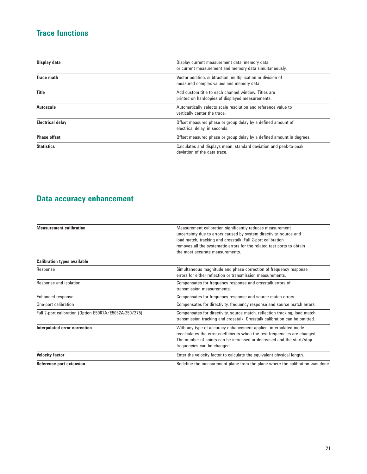# **Trace functions**

| Display data            | Display current measurement data, memory data,<br>or current measurement and memory data simultaneously. |
|-------------------------|----------------------------------------------------------------------------------------------------------|
| <b>Trace math</b>       | Vector addition, subtraction, multiplication or division of<br>measured complex values and memory data.  |
| <b>Title</b>            | Add custom title to each channel window. Titles are<br>printed on hardcopies of displayed measurements.  |
| Autoscale               | Automatically selects scale resolution and reference value to<br>vertically center the trace.            |
| <b>Electrical delay</b> | Offset measured phase or group delay by a defined amount of<br>electrical delay, in seconds.             |
| <b>Phase offset</b>     | Offset measured phase or group delay by a defined amount in degrees.                                     |
| <b>Statistics</b>       | Calculates and displays mean, standard deviation and peak-to-peak<br>deviation of the data trace.        |

# **Data accuracy enhancement**

| <b>Measurement calibration</b>                         | Measurement calibration significantly reduces measurement<br>uncertainty due to errors caused by system directivity, source and |
|--------------------------------------------------------|---------------------------------------------------------------------------------------------------------------------------------|
|                                                        | load match, tracking and crosstalk. Full 2-port calibration                                                                     |
|                                                        | removes all the systematic errors for the related test ports to obtain                                                          |
|                                                        | the most accurate measurements.                                                                                                 |
| <b>Calibration types available</b>                     |                                                                                                                                 |
| Response                                               | Simultaneous magnitude and phase correction of frequency response                                                               |
|                                                        | errors for either reflection or transmission measurements.                                                                      |
| Response and isolation                                 | Compensates for frequency response and crosstalk errors of                                                                      |
|                                                        | transmission measurements.                                                                                                      |
| Enhanced response                                      | Compensates for frequency response and source match errors                                                                      |
| One-port calibration                                   | Compensates for directivity, frequency response and source match errors.                                                        |
| Full 2-port calibration (Option E5061A/E5062A-250/275) | Compensates for directivity, source match, reflection tracking, load match,                                                     |
|                                                        | transmission tracking and crosstalk. Crosstalk calibration can be omitted.                                                      |
| Interpolated error correction                          | With any type of accuracy enhancement applied, interpolated mode                                                                |
|                                                        | recalculates the error coefficients when the test frequencies are changed.                                                      |
|                                                        | The number of points can be increased or decreased and the start/stop                                                           |
|                                                        | frequencies can be changed.                                                                                                     |
| <b>Velocity factor</b>                                 | Enter the velocity factor to calculate the equivalent physical length.                                                          |
| Reference port extension                               | Redefine the measurement plane from the plane where the calibration was done.                                                   |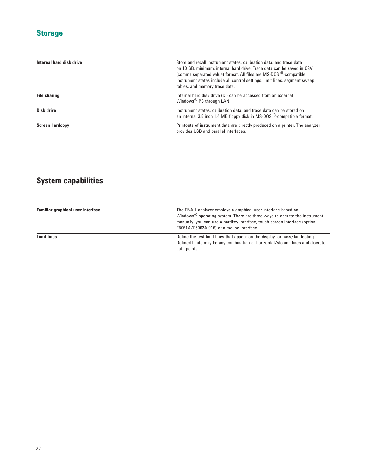# **Storage**

| Internal hard disk drive | Store and recall instrument states, calibration data, and trace data<br>on 10 GB, minimum, internal hard drive. Trace data can be saved in CSV<br>(comma separated value) format. All files are MS-DOS ®-compatible.<br>Instrument states include all control settings, limit lines, segment sweep<br>tables, and memory trace data. |
|--------------------------|--------------------------------------------------------------------------------------------------------------------------------------------------------------------------------------------------------------------------------------------------------------------------------------------------------------------------------------|
| <b>File sharing</b>      | Internal hard disk drive (D:) can be accessed from an external<br>Windows <sup>®</sup> PC through LAN.                                                                                                                                                                                                                               |
| Disk drive               | Instrument states, calibration data, and trace data can be stored on<br>an internal 3.5 inch 1.4 MB floppy disk in MS-DOS $^{\circledR}$ -compatible format.                                                                                                                                                                         |
| <b>Screen hardcopy</b>   | Printouts of instrument data are directly produced on a printer. The analyzer<br>provides USB and parallel interfaces.                                                                                                                                                                                                               |

# **System capabilities**

| Familiar graphical user interface | The ENA-L analyzer employs a graphical user interface based on<br>Windows <sup><math>®</math> operating system. There are three ways to operate the instrument</sup><br>manually: you can use a hardkey interface, touch screen interface (option |
|-----------------------------------|---------------------------------------------------------------------------------------------------------------------------------------------------------------------------------------------------------------------------------------------------|
| <b>Limit lines</b>                | E5061A/E5062A-016) or a mouse interface.<br>Define the test limit lines that appear on the display for pass/fail testing.<br>Defined limits may be any combination of horizontal/sloping lines and discrete                                       |
|                                   | data points.                                                                                                                                                                                                                                      |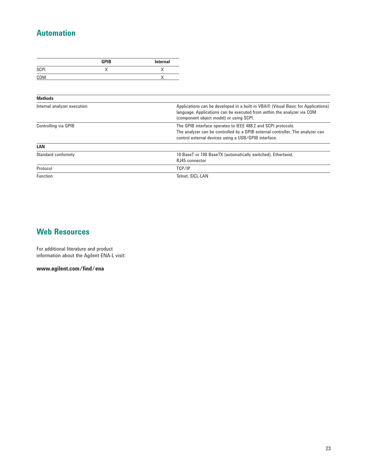# **Automation**

|      | <b>GPIB</b> | <b>Internal</b> |
|------|-------------|-----------------|
| SCPI | $\lambda$   |                 |
| COM  |             |                 |

| <b>Methods</b>              |                                                                                                                                                                                                         |
|-----------------------------|---------------------------------------------------------------------------------------------------------------------------------------------------------------------------------------------------------|
| Internal analyzer execution | Applications can be developed in a built-in VBA® (Visual Basic for Applications)<br>language. Applications can be executed from within the analyzer via COM<br>(component object model) or using SCPI.  |
| Controlling via GPIB        | The GPIB interface operates to IEEE 488.2 and SCPI protocols.<br>The analyzer can be controlled by a GPIB external controller. The analyzer can<br>control external devices using a USB/GPIB interface. |
| LAN                         |                                                                                                                                                                                                         |
| Standard conformity         | 10 BaseT or 100 BaseTX (automatically switched), Ethertwist,<br>RJ45 connector                                                                                                                          |
| Protocol                    | TCP/IP                                                                                                                                                                                                  |
| Function                    | Telnet, SICL-LAN                                                                                                                                                                                        |

# **Web Resources**

For additional literature and product information about the Agilent ENA-L visit:

**www.agilent.com/find/ena**